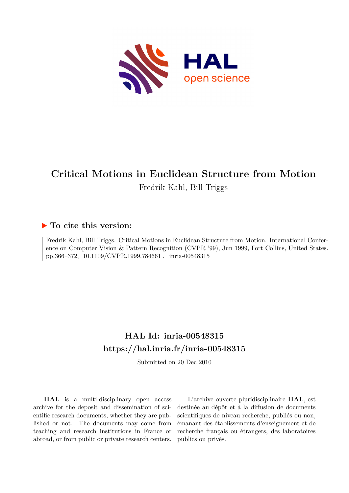

# **Critical Motions in Euclidean Structure from Motion** Fredrik Kahl, Bill Triggs

# **To cite this version:**

Fredrik Kahl, Bill Triggs. Critical Motions in Euclidean Structure from Motion. International Conference on Computer Vision & Pattern Recognition (CVPR '99), Jun 1999, Fort Collins, United States. pp.366–372, 10.1109/CVPR.1999.784661. inria-00548315

# **HAL Id: inria-00548315 <https://hal.inria.fr/inria-00548315>**

Submitted on 20 Dec 2010

**HAL** is a multi-disciplinary open access archive for the deposit and dissemination of scientific research documents, whether they are published or not. The documents may come from teaching and research institutions in France or abroad, or from public or private research centers.

L'archive ouverte pluridisciplinaire **HAL**, est destinée au dépôt et à la diffusion de documents scientifiques de niveau recherche, publiés ou non, émanant des établissements d'enseignement et de recherche français ou étrangers, des laboratoires publics ou privés.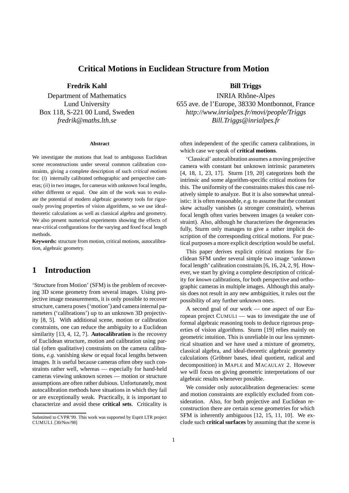#### **Critical Motions in Euclidean Structure from Motion**

#### **Fredrik Kahl Bill Triggs**

#### **Abstract**

We investigate the motions that lead to ambiguous Euclidean scene reconstructions under several common calibration constraints, giving a complete description of such *critical motions* for: (*i*) internally calibrated orthographic and perspective cameras; (*ii*) in two images, for cameras with unknown focal lengths, either different or equal. One aim of the work was to evaluate the potential of modern algebraic geometry tools for rigorously proving properties of vision algorithms, so we use idealtheoretic calculations as well as classical algebra and geometry. We also present numerical experiments showing the effects of near-critical configurations for the varying and fixed focal length methods.

**Keywords:** structure from motion, critical motions, autocalibration, algebraic geometry.

## **1 Introduction**

'Structure from Motion' (SFM) is the problem of recovering 3D scene geometry from several images. Using projective image measurements, it is only possible to recover structure, camera poses ('motion') and camera internal parameters ('calibrations') up to an unknown 3D projectivity [8, 5]. With additional scene, motion or calibration constraints, one can reduce the ambiguity to a Euclidean similarity [13, 4, 12, 7]. **Autocalibration** is the recovery of Euclidean structure, motion and calibration using partial (often qualitative) constraints on the camera calibrations, *e.g.* vanishing skew or equal focal lengths between images. It is useful because cameras often obey such constraints rather well, whereas — especially for hand-held cameras viewing unknown scenes — motion or structure assumptions are often rather dubious. Unfortunately, most autocalibration methods have situations in which they fail or are exceptionally weak. Practically, it is important to characterize and avoid these **critical sets**. Criticality is

Department of Mathematics INRIA Rhône-Alpes Lund University 655 ave. de l'Europe, 38330 Montbonnot, France Box 118, S-221 00 Lund, Sweden *http://www.inrialpes.fr/movi/people/Triggs fredrik@maths.lth.se Bill.Triggs@inrialpes.fr*

> often independent of the specific camera calibrations, in which case we speak of **critical motions**.

> 'Classical' autocalibration assumes a moving projective camera with constant but unknown intrinsic parameters [4, 18, 1, 23, 17]. Sturm [19, 20] categorizes both the intrinsic and some algorithm-specific critical motions for this. The uniformity of the constraints makes this case relatively simple to analyze. But it is also somewhat unrealistic: it is often reasonable, *e.g.*to assume that the constant skew actually vanishes (a stronger constraint), whereas focal length often varies between images (a weaker constraint). Also, although he characterizes the degeneracies fully, Sturm only manages to give a rather implicit description of the corresponding critical motions. For practical purposes a more explicit description would be useful.

> This paper derives explicit critical motions for Euclidean SFM under several simple two image 'unknown focal length' calibration constraints [6, 16, 24, 2, 9]. However, we start by giving a complete description of criticality for *known* calibrations, for both perspective and orthographic cameras in multiple images. Although this analysis does not result in any new ambiguities, it rules out the possibility of any further unknown ones.

> A second goal of our work — one aspect of our European project CUMULI — was to investigate the use of formal algebraic reasoning tools to deduce rigorous properties of vision algorithms. Sturm [19] relies mainly on geometric intuition. This is unreliable in our less symmetrical situation and we have used a mixture of geometry, classical algebra, and ideal-theoretic algebraic geometry calculations (Gröbner bases, ideal quotient, radical and decomposition) in MAPLE and MACAULAY 2. However we will focus on giving geometric interpretations of our algebraic results whenever possible.

> We consider only autocalibration degeneracies: scene and motion constraints are explicitly excluded from consideration. Also, for both projective and Euclidean reconstruction there are certain scene geometries for which SFM is inherently ambiguous [12, 15, 11, 10]. We exclude such **critical surfaces** by assuming that the scene is

Submitted to CVPR'99. This work was supported by Esprit LTR project CUMULI. [30/Nov/98]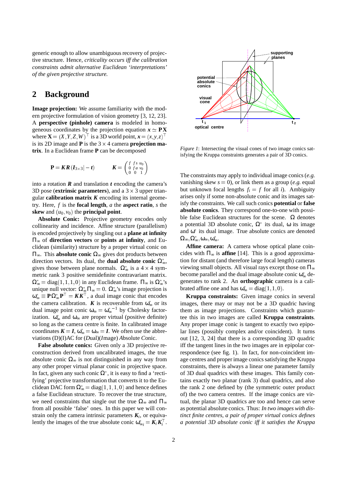generic enough to allow unambiguous recovery of projective structure. Hence, *criticality occurs iff the calibration constraints admit alternative Euclidean 'interpretations' of the given projective structure.*

## **2 Background**

**Image projection:** We assume familiarity with the modern projective formulation of vision geometry [3, 12, 23]. A **perspective (pinhole) camera** is modeled in homogeneous coordinates by the projection equation  $x \simeq P X$ where  $\mathbf{X} = (X, Y, Z, W)^\top$  is a 3D world point,  $\mathbf{x} = (x, y, z)^\top$ is its 2D image and  $P$  is the  $3 \times 4$  camera **projection matrix**. In a Euclidean frame **P** can be decomposed

$$
\mathbf{P} = \mathbf{K}\mathbf{R}\left(\mathbf{I}_{3\times3}\right| - t) \qquad \qquad \mathbf{K} = \begin{pmatrix} f & f & s & u_0 \\ 0 & f & a & v_0 \\ 0 & 0 & 1 \end{pmatrix}
$$

into a rotation  $\vec{R}$  and translation  $\vec{t}$  encoding the camera's 3D pose (**extrinsic parameters**), and a  $3 \times 3$  upper triangular **calibration matrix** *K* encoding its internal geometry. Here, *f* is the **focal length**, *a* the **aspect ratio**, *s* the **skew** and  $(u_0, v_0)$  the **principal point**.

**Absolute Conic:** Projective geometry encodes only collinearity and incidence. Affine structure (parallelism) is encoded projectively by singling out a **plane at infinity** Π<sup>∞</sup> of **direction vectors** or **points at infinity**, and Euclidean (similarity) structure by a proper virtual conic on Π∞. This **absolute conic** Ω<sup>∞</sup> gives dot products between direction vectors. Its dual, the **dual absolute conic**  $\Omega_{\infty}^*$ , gives those between plane normals.  $\Omega_{\infty}^{*}$  is a 4 × 4 symmetric rank 3 positive semidefinite contravariant matrix.  $\Omega_{\infty}^* = \text{diag}(1, 1, 1, 0)$  in any Euclidean frame.  $\Pi_{\infty}$  is  $\Omega_{\infty}^*$ 's unique null vector:  $\Omega_{\infty}^* \Pi_{\infty} = 0$ .  $\Omega_{\infty}^*$ 's image projection is  $\omega_{\infty}^* \equiv P \Omega_{\infty}^* P^{\dagger} = K K^{\dagger}$ , a dual image conic that encodes the camera calibration. *K* is recoverable from  $\omega_{\infty}^*$  or its dual image point conic  $\omega_{\infty} = \omega_{\infty}^{*^{-1}}$  by Cholesky factorization.  $\omega_{\infty}^{*}$  and  $\omega_{\infty}$  are proper virtual (positive definite) so long as the camera centre is finite. In calibrated image coordinates  $K = I$ ,  $\omega_{\infty}^* = \omega_{\infty} = I$ . We often use the abbreviations (D)(I)AC for (*D*ual)(*I*mage) *A*bsolute *C*onic.

**False absolute conics:** Given only a 3D projective reconstruction derived from uncalibrated images, the true absolute conic  $\Omega_{\infty}$  is not distinguished in any way from any other proper virtual planar conic in projective space. In fact, given any such conic  $\Omega^*$ , it is easy to find a 'rectifying' projective transformation that converts it to the Euclidean DAC form  $\Omega_{\infty}^* = \text{diag}(1,1,1,0)$  and hence defines a false Euclidean structure. To recover the true structure, we need constraints that single out the true  $\Omega_{\infty}$  and  $\Pi_{\infty}$ from all possible 'false' ones. In this paper we will constrain only the camera intrinsic parameters  $K_i$ , or equivalently the images of the true absolute conic  $\omega_{\infty i}^* = K_i K_i^{\dagger}$ .



*Figure 1*: Intersecting the visual cones of two image conics satisfying the Kruppa constraints generates a pair of 3D conics.

The constraints may apply to individual image conics (*e.g.* vanishing skew  $s = 0$ ), or link them as a group (*e.g.* equal but unknown focal lengths  $f_i = f$  for all *i*). Ambiguity arises only if some non-absolute conic and its images satisfy the constraints. We call such conics **potential** or **false absolute conics**. They correspond one-to-one with possible false Euclidean structures for the scene.  $\Omega$  denotes a potential 3D absolute conic,  $\Omega^*$  its dual,  $\omega$  its image and  $\omega^*$  its dual image. True absolute conics are denoted  $\Omega_\infty, \Omega_\infty^*, \omega_\infty, \omega_\infty^*.$ 

**Affine camera:** A camera whose optical plane coincides with  $\Pi_{\infty}$  is **affine** [14]. This is a good approximation for distant (and therefore large focal length) cameras viewing small objects. All visual rays except those on  $\Pi_{\infty}$ become parallel and the dual image absolute conic  $\omega_{\infty}^{*}$  degenerates to rank 2. An **orthographic** camera is a calibrated affine one and has  $\omega_{\infty}^* = \text{diag}(1, 1, 0)$ .

**Kruppa constraints:** Given image conics in several images, there may or may not be a 3D quadric having them as image projections. Constraints which guarantee this in two images are called **Kruppa constraints**. Any proper image conic is tangent to exactly two epipolar lines (possibly complex and/or coincident). It turns out [12, 3, 24] that there is a corresponding 3D quadric iff the tangent lines in the two images are in epipolar correspondence (see fig. 1). In fact, for non-coincident image centres and proper image conics satisfying the Kruppa constraints, there is always a linear one parameter family of 3D dual quadrics with these images. This family contains exactly two planar (rank 3) dual quadrics, and also the rank 2 one defined by (the symmetric outer product of) the two camera centres. If the image conics are virtual, the planar 3D quadrics are too and hence can serve as potential absolute conics. Thus: *In two images with distinct finite centres, a pair of proper virtual conics defines a potential 3D absolute conic iff it satisfies the Kruppa*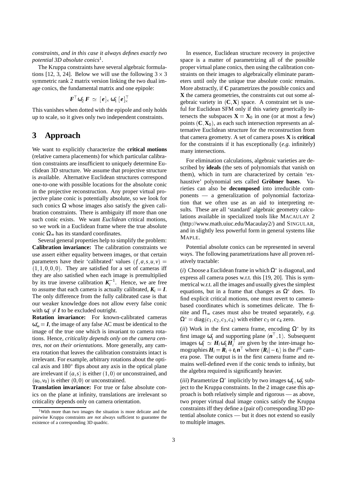*constraints, and in this case it always defines exactly two potential 3D absolute conics*<sup>1</sup> .

The Kruppa constraints have several algebraic formulations [12, 3, 24]. Below we will use the following  $3 \times 3$ symmetric rank 2 matrix version linking the two dual image conics, the fundamental matrix and one epipole:

$$
\boldsymbol{F}^\top \boldsymbol{\omega}_2^* \boldsymbol{F} \, \simeq \, [\boldsymbol{e}]_\times \boldsymbol{\omega}_1^* \, [\boldsymbol{e}]_\times^\top
$$

This vanishes when dotted with the epipole and only holds up to scale, so it gives only two independent constraints.

#### **3 Approach**

We want to explicitly characterize the **critical motions** (relative camera placements) for which particular calibration constraints are insufficient to uniquely determine Euclidean 3D structure. We assume that projective structure is available. Alternative Euclidean structures correspond one-to-one with possible locations for the absolute conic in the projective reconstruction. Any proper virtual projective plane conic is potentially absolute, so we look for such conics  $\Omega$  whose images also satisfy the given calibration constraints. There is ambiguity iff more than one such conic exists. We want *Euclidean* critical motions, so we work in a Euclidean frame where the true absolute conic  $\Omega_{\infty}$  has its standard coordinates.

Several general properties help to simplify the problem: **Calibration invariance:** The calibration constraints we use assert either equality between images, or that certain parameters have their 'calibrated' values  $(f, a, s, u, v)$  =  $(1, 1, 0, 0, 0)$ . They are satisfied for a set of cameras iff they are also satisfied when each image is premultiplied by its true inverse calibration  $K_i^{-1}$ . Hence, we are free to assume that each camera is actually calibrated,  $K_i = I$ . The only difference from the fully calibrated case is that our weaker knowledge does not allow every false conic with  $\omega_i^* \neq I$  to be excluded outright.

**Rotation invariance:** For known-calibrated cameras  $\omega_{\infty}^* = I$ , the image of any false AC must be identical to the image of the true one which is invariant to camera rotations. Hence, *criticality depends only on the camera centres, not on their orientations*. More generally, any camera rotation that leaves the calibration constraints intact is irrelevant. For example, arbitrary rotations about the optical axis and 180° flips about any axis in the optical plane are irrelevant if  $(a, s)$  is either  $(1, 0)$  or unconstrained, and  $(u_0, v_0)$  is either  $(0, 0)$  or unconstrained.

**Translation invariance:** For true or false absolute conics on the plane at infinity, translations are irrelevant so criticality depends only on camera orientation.

In essence, Euclidean structure recovery in projective space is a matter of parametrizing all of the possible proper virtual plane conics, then using the calibration constraints on their images to algebraically eliminate parameters until only the unique true absolute conic remains. More abstractly, if **C** parametrizes the possible conics and **X** the camera geometries, the constraints cut out some algebraic variety in  $(C, X)$  space. A constraint set is useful for Euclidean SFM only if this variety generically intersects the subspaces  $X = X_0$  in one (or at most a few) points  $(C, X_0)$ , as each such intersection represents an alternative Euclidean structure for the reconstruction from that camera geometry. A set of camera poses **X** is **critical** for the constraints if it has exceptionally (*e.g.* infinitely) many intersections.

For elimination calculations, algebraic varieties are described by **ideals** (the sets of polynomials that vanish on them), which in turn are characterized by certain 'exhaustive' polynomial sets called **Grobner bases ¨** . Varieties can also be **decomposed** into irreducible components — a generalization of polynomial factorization that we often use as an aid to interpreting results. These are all 'standard' algebraic geometry calculations available in specialized tools like MACAULAY 2 (http://www.math.uiuc.edu/Macaulay2/) and SINGULAR, and in slightly less powerful form in general systems like MAPLE.

Potential absolute conics can be represented in several ways. The following parametrizations have all proven relatively tractable:

(*i*) Choose a Euclidean frame in which  $\Omega^*$  is diagonal, and express all camera poses w.r.t. this [19, 20]. This is symmetrical w.r.t. all the images and usually gives the simplest equations, but in a frame that changes as  $\Omega^*$  does. To find explicit critical motions, one must revert to camerabased coordinates which is sometimes delicate. The finite and  $\Pi_{\infty}$  cases must also be treated separately, *e.g.*  $\Omega^* = \text{diag}(c_1, c_2, c_3, c_4)$  with either  $c_3$  or  $c_4$  zero.

(*ii*) Work in the first camera frame, encoding  $\Omega^*$  by its first image  $\omega_1^*$  and supporting plane  $(n^+, 1)$ . Subsequent images  $\omega_i^* \simeq H_i \omega_1^* H_i$  are given by the inter-image homographies  $H_i = R_i + t_i n^{\top}$  where  $(R_i - t_i)$  is the *i*<sup>th</sup> camera pose. The output is in the first camera frame and remains well-defined even if the conic tends to infinity, but the algebra required is significantly heavier.

(*iii*) Parametrize  $\Omega^*$  implicitly by two images  $\omega_1^*, \omega_2^*$  subject to the Kruppa constraints. In the 2 image case this approach is both relatively simple and rigorous — as above, two proper virtual dual image conics satisfy the Kruppa constraints iff they define a (pair of) corresponding 3D potential absolute conics — but it does not extend so easily to multiple images.

<sup>1</sup>With more than two images the situation is more delicate and the pairwise Kruppa constraints are *not* always sufficient to guarantee the existence of a corresponding 3D quadric.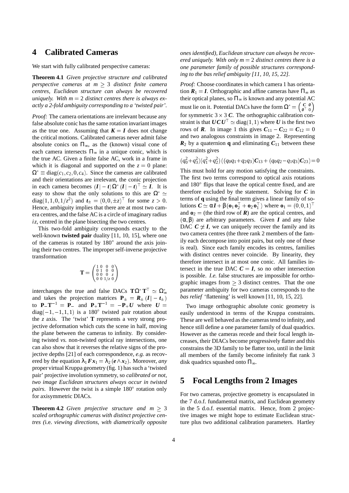#### **4 Calibrated Cameras**

We start with fully calibrated perspective cameras:

**Theorem 4.1** *Given projective structure and calibrated perspective cameras at m*  $\geq$  3 *distinct finite camera centres, Euclidean structure can always be recovered uniquely. With m* <sup>=</sup> 2 *distinct centres there is always exactly a 2-fold ambiguity corresponding to a 'twisted pair'.*

*Proof:* The camera orientations are irrelevant because any false absolute conic has the same rotation invariant images as the true one. Assuming that  $K = I$  does not change the critical motions. Calibrated cameras never admit false absolute conics on  $\Pi_{\infty}$ , as the (known) visual cone of each camera intersects  $\Pi_{\infty}$  in a unique conic, which is the true AC. Given a finite false AC, work in a frame in which it is diagonal and supported on the  $z = 0$  plane:  $\Omega^* \equiv \text{diag}(c_1, c_2, 0, c_4)$ . Since the cameras are calibrated and their orientations are irrelevant, the conic projection in each camera becomes  $(I - t)\Omega^* (I - t)^{\perp} \simeq I$ . It is easy to show that the only solutions to this are  $\Omega^* \simeq$ diag(1, 1, 0, 1/ $z^2$ ) and  $t_{\pm} = (0, 0, \pm z)^{\top}$  for some  $z > 0$ . Hence, ambiguity implies that there are at most two camera centres, and the false AC is a circle of imaginary radius *iz*, centred in the plane bisecting the two centres.

This two-fold ambiguity corresponds exactly to the well-known **twisted pair** duality [11, 10, 15], where one of the cameras is rotated by  $180^\circ$  around the axis joining their two centres. The improper self-inverse projective transformation

$$
\mathbf{T} = \begin{pmatrix} 1 & 0 & 0 & 0 \\ 0 & 1 & 0 & 0 \\ 0 & 0 & 0 & z \\ 0 & 0 & 1/z & 0 \end{pmatrix}
$$

interchanges the true and false DACs  $\mathbf{T}\Omega^* \mathbf{T}^{\perp} \simeq \Omega_{\infty}^*$ and takes the projection matrices  $P_+ = R_+(I - t_+)$ to  $P_{-}T^{-1} = P_{-}$  and  $P_{+}T^{-1} = -P_{+}U$  where  $U =$  $diag(-1, -1, 1, 1)$  is a 180° twisted pair rotation about the *z* axis. The 'twist' **T** represents a very strong projective deformation which cuts the scene in half, moving the plane between the cameras to infinity. By considering twisted *vs.* non-twisted optical ray intersections, one can also show that it reverses the relative signs of the projective depths [21] of each correspondence, *e.g.* as recovered by the equation  $\lambda_1 F x_1 = \lambda_2 (e \wedge x_2)$ . Moreover, *any* proper virtual Kruppa geometry (fig. 1) has such a 'twisted pair' projective involution symmetry, so *calibrated or not, two image Euclidean structures always occur in twisted* pairs. However the twist is a simple 180° rotation only for axisymmetric DIACs.

**Theorem 4.2** *Given projective structure and m*  $\geq$  3 *scaled orthographic cameras with distinct projective centres (*i.e. *viewing directions, with diametrically opposite* *ones identified), Euclidean structure can always be recovered uniquely. With only m* <sup>=</sup> 2 *distinct centres there is a one parameter family of possible structures corresponding to the bas relief ambiguity [11, 10, 15, 22].*

*Proof:* Choose coordinates in which camera 1 has orientation  $R_1 = I$ . Orthographic and affine cameras have  $\Pi_{\infty}$  as their optical planes, so  $\Pi_{\infty}$  is known and any potential AC must lie on it. Potential DACs have the form  $\Omega^* = \begin{pmatrix} C & 0 \\ 0 & 0 \end{pmatrix}$  $\boldsymbol{\theta}^\top$  0  $\sim$ for symmetric  $3 \times 3$  C. The orthographic calibration constraint is that  $\boldsymbol{U}\boldsymbol{C}\boldsymbol{U}^{\top} \simeq \text{diag}(1,1)$  where  $\boldsymbol{U}$  is the first two rows of **R**. In image 1 this gives  $C_{11} - C_{22} = C_{12} = 0$ and two analogous constraints in image 2. Representing  $R_2$  by a quaternion **q** and eliminating  $C_{11}$  between these constraints gives

$$
(q_0^2+q_3^2)(q_1^2+q_2^2)((q_0q_1+q_2q_3)\mathbf{C}_{13}+(q_0q_2-q_1q_3)\mathbf{C}_{23})=0
$$

This must hold for any motion satisfying the constraints. The first two terms correspond to optical axis rotations and 180° flips that leave the optical centre fixed, and are therefore excluded by the statement. Solving for *C* in terms of **q** using the final term gives a linear family of solutions  $\mathbf{C} \simeq \alpha \mathbf{I} + \beta (\mathbf{o}_1 \mathbf{o}_2^{\top} + \mathbf{o}_2 \mathbf{o}_1^{\top})$  where  $\mathbf{o}_1 = (0, 0, 1)^{\top}$ and  $\mathbf{o}_2$  = (the third row of  $\mathbf{R}$ ) are the optical centres, and  $(\alpha, \beta)$  are arbitrary parameters. Given *I* and any false DAC  $C \not\cong I$ , we can uniquely recover the family and its two camera centres (the three rank 2 members of the family each decompose into point pairs, but only one of these is real). Since each family encodes its centres, families with distinct centres never coincide. By linearity, they therefore intersect in at most one conic. All families intersect in the true DAC  $C = I$ , so no other intersection is possible. *I.e.* false structures are impossible for orthographic images from  $\geq$  3 distinct centres. That the one parameter ambiguity for two cameras corresponds to the *bas relief* 'flattening' is well known [11, 10, 15, 22].

Two image orthographic absolute conic geometry is easily understood in terms of the Kruppa constraints. These are well behaved as the cameras tend to infinity, and hence still define a one parameter family of dual quadrics. However as the cameras recede and their focal length increases, their DIACs become progressively flatter and this constrains the 3D family to be flatter too, until in the limit all members of the family become infinitely flat rank 3 disk quadrics squashed onto  $\Pi_{\infty}$ .

#### **5 Focal Lengths from 2 Images**

For two cameras, projective geometry is encapsulated in the 7 d.o.f. fundamental matrix, and Euclidean geometry in the 5 d.o.f. essential matrix. Hence, from 2 projective images we might hope to estimate Euclidean structure plus two additional calibration parameters. Hartley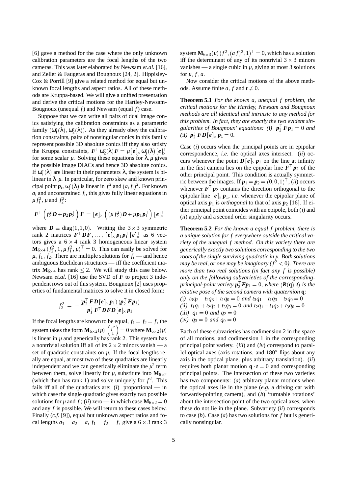[6] gave a method for the case where the only unknown calibration parameters are the focal lengths of the two cameras. This was later elaborated by Newsam *et.al.* [16], and Zeller & Faugeras and Bougnoux [24, 2]. Hippisley-Cox & Porrill [9] give a related method for equal but unknown focal lengths and aspect ratios. All of these methods are Kruppa-based. We will give a unified presentation and derive the critical motions for the Hartley-Newsam-Bougnoux (unequal *f*) and Newsam (equal *f*) case.

Suppose that we can write all pairs of dual image conics satisfying the calibration constraints as a parametric family  $(\omega_1^*(\lambda), \omega_2^*(\lambda))$ . As they already obey the calibration constraints, pairs of nonsingular conics in this family represent possible 3D absolute conics iff they also satisfy the Kruppa constraints,  $\mathbf{F}^{\top} \mathbf{\omega}_{2}^{*}(\lambda) \mathbf{F} = \mu[\mathbf{e}]_{\times} \mathbf{\omega}_{1}^{*}(\lambda) [\mathbf{e}]_{\times}^{\top}$ for some scalar  $\mu$ . Solving these equations for  $\lambda, \mu$  gives the possible image DIACs and hence 3D absolute conics. If  $ω_i^*(λ)$  are linear in their parameters  $λ$ , the system is bilinear in  $\lambda, \mu$ . In particular, for zero skew and known principal point  $p_i$ ,  $\omega_i^*(\lambda)$  is linear in  $f_i^2$  and  $(a_i f_i)^2$ . For known  $a_i$  and unconstrained  $f_i$ , this gives fully linear equations in  $\mu f_1^2$ ,  $\mu$  and  $f_2^2$ :

$$
\boldsymbol{F}^{\top}\left(f_2^2\boldsymbol{D}+\boldsymbol{p}_2\boldsymbol{p}_2^{\top}\right)\boldsymbol{F}=\left[\boldsymbol{e}\right]_{\times}\left((\mu f_2^2)\boldsymbol{D}+\mu\boldsymbol{p}_1\boldsymbol{p}_1^{\top}\right)\left[\boldsymbol{e}\right]_{\times}^{\top}
$$

where  $D \equiv diag(1, 1, 0)$ . Writing the  $3 \times 3$  symmetric rank 2 matrices  $\mathbf{F}^{\top} \mathbf{D} \mathbf{F}$ ,  $\ldots$ ,  $[\mathbf{e}]_{\times} \mathbf{p}_1 \mathbf{p}_1^{\top} [\mathbf{e}]_{\times}^{\top}$  as 6 vectors gives a  $6 \times 4$  rank 3 homogeneous linear system  $\mathbf{M}_{6\times4}$   $(f_2^2, 1, \mu f_1^2, \mu)^\top = 0$ . This can easily be solved for  $\mu$ ,  $f_1$ ,  $f_2$ . There are multiple solutions for  $f_i$  — and hence ambiguous Euclidean structures — iff the coefficient matrix  $M_{6\times4}$  has rank  $\leq$  2. We will study this case below. Newsam *et.al.* [16] use the SVD of *F* to project 3 independent rows out of this system. Bougnoux [2] uses properties of fundamental matrices to solve it in closed form:

$$
f_2^2 = -\frac{(\boldsymbol{p}_2^\top \boldsymbol{FD}[\boldsymbol{e}] \times \boldsymbol{p}_1) (\boldsymbol{p}_2^\top \boldsymbol{F} \boldsymbol{p}_1)}{\boldsymbol{p}_1^\top \boldsymbol{F}^\top \boldsymbol{DF} \boldsymbol{D}[\boldsymbol{e}] \times \boldsymbol{p}_1}
$$

If the focal lengths are known to be equal,  $f_1 = f_2 = f$ , the system takes the form  $\mathbf{M}_{6\times2}(\mu)$   $\Big(\begin{smallmatrix} f^2\ 1\end{smallmatrix}\Big)$ 1  $= 0$  where  $M_{6\times 2}(\mu)$ is linear in  $\mu$  and generically has rank 2. This system has a nontrivial solution iff all of its  $2 \times 2$  minors vanish — a set of quadratic constraints on  $\mu$ . If the focal lengths really are equal, at most two of these quadratics are linearly independent and we can generically eliminate the  $\mu^2$  term between them, solve linearly for  $\mu$ , substitute into  $M_{6\times2}$ (which then has rank 1) and solve uniquely for  $f^2$ . This fails iff all of the quadratics are: (*i*) proportional — in which case the single quadratic gives exactly two possible solutions for  $\mu$  and  $f$ ; (*ii*) zero — in which case  $\mathbf{M}_{6\times2} = 0$ and any *f* is possible. We will return to these cases below. Finally (*c.f.* [9]), equal but unknown aspect ratios and focal lengths  $a_1 = a_2 = a, f_1 = f_2 = f$ , give a  $6 \times 3$  rank 3

system  $\mathbf{M}_{6\times3}(\mu)$   $(f^2,(af)^2,1)^\top=0$ , which has a solution iff the determinant of any of its nontrivial  $3 \times 3$  minors vanishes — a single cubic in  $\mu$ , giving at most 3 solutions for  $\mu$ ;  $f$ ,  $a$ .

Now consider the critical motions of the above methods. Assume finite *a*, *f* and  $t \neq 0$ .

**Theorem 5.1** *For the known a, unequal f problem, the critical motions for the Hartley, Newsam and Bougnoux methods are all identical and intrinsic to any method for this problem. In fact, they are exactly the two evident singularities of Bougnoux' equations:* (i)  $p_2^{\dagger} F p_1 = 0$  and *(ii)*  $p_2^{\dagger} F D [e]_{\times} p_1 = 0.$ 

Case (*i*) occurs when the principal points are in epipolar correspondence, *i.e.* the optical axes intersect. (*ii*) occurs whenever the point  $D[e]_{\times} p_1$  on the line at infinity in the first camera lies on the epipolar line  $F^{\dagger} p_2$  of the other principal point. This condition is actually symmetric between the images. If  $p_1 = p_2 = (0, 0, 1)^\top$ , *(ii)* occurs whenever  $F^{\dagger} p_2$  contains the direction orthogonal to the epipolar line  $[e]_{\times} p_1$ , *i.e.* whenever the epipolar plane of optical axis  $p_1$  is *orthogonal* to that of axis  $p_2$  [16]. If either principal point coincides with an epipole, both (*i*) and (*ii*) apply and a second order singularity occurs.

**Theorem 5.2** *For the known a equal f problem, there is a unique solution for f everywhere outside the critical variety of the unequal f method. On this variety there are generically exactly two solutions corresponding to the two roots of the single surviving quadratic in µ. Both solutions may be real, or one may be imaginary (* $f^2 < 0$ *). There are more than two real solutions (in fact any f is possible) only on the following subvarieties of the correspondingprincipal-point variety*  $p_2^{\dagger} F p_1 = 0$ *, where*  $(R(q), t)$  *is the relative pose of the second camera with quaternion* **q***: (i)*  $t_3q_2 - t_2q_3 + t_1q_0 = 0$  *and*  $t_3q_1 - t_1q_3 - t_2q_0 = 0$  $(iii)$   $t_1q_1 + t_2q_2 + t_3q_3 = 0$  *and*  $t_2q_1 - t_1q_2 + t_3q_0 = 0$ *(iii)*  $q_1 = 0$  *and*  $q_2 = 0$ 

(iv) 
$$
q_3 = 0
$$
 and  $q_0 = 0$ 

Each of these subvarieties has codimension 2 in the space of all motions, and codimension 1 in the corresponding principal point variety. (*iii*) and (*iv*) correspond to parallel optical axes (axis rotations, and 180° flips about any axis in the optical plane, plus arbitrary translation). (*ii*) requires both planar motion  $\mathbf{q} \cdot \mathbf{t} = 0$  and corresponding principal points. The intersection of these two varieties has two components: (*a*) arbitrary planar motions when the optical axes lie in the plane (*e.g.* a driving car with forwards-pointing camera), and (*b*) 'turntable rotations' about the intersection point of the two optical axes, when these do not lie in the plane. Subvariety (*ii*) corresponds to case (*b*). Case (*a*) has two solutions for *f* but is generically nonsingular.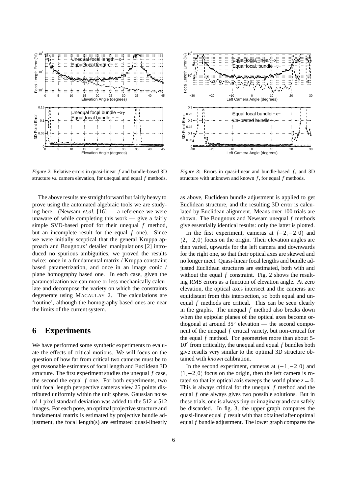

*Figure 2*: Relative errors in quasi-linear *f* and bundle-based 3D structure *vs.* camera elevation, for unequal and equal *f* methods.

The above results are straightforward but fairly heavy to prove using the automated algebraic tools we are studying here. (Newsam *et.al.* [16] — a reference we were unaware of while completing this work — give a fairly simple SVD-based proof for their unequal *f* method, but an incomplete result for the equal *f* one). Since we were initially sceptical that the general Kruppa approach and Bougnoux' detailed manipulations [2] introduced no spurious ambiguities, we proved the results twice: once in a fundamental matrix / Kruppa constraint based parametrization, and once in an image conic / plane homography based one. In each case, given the parametrization we can more or less mechanically calculate and decompose the variety on which the constraints degenerate using MACAULAY 2. The calculations are 'routine', although the homography based ones are near the limits of the current system.

### **6 Experiments**

We have performed some synthetic experiments to evaluate the effects of critical motions. We will focus on the question of how far from critical two cameras must be to get reasonable estimates of focal length and Euclidean 3D structure. The first experiment studies the unequal *f* case, the second the equal *f* one. For both experiments, two unit focal length perspective cameras view 25 points distributed uniformly within the unit sphere. Gaussian noise of 1 pixel standard deviation was added to the  $512 \times 512$ images. For each pose, an optimal projective structure and fundamental matrix is estimated by projective bundle adjustment, the focal length(s) are estimated quasi-linearly



*Figure 3*: Errors in quasi-linear and bundle-based  $f$ , and 3D structure with unknown and known *f* , for equal *f* methods.

as above, Euclidean bundle adjustment is applied to get Euclidean structure, and the resulting 3D error is calculated by Euclidean alignment. Means over 100 trials are shown. The Bougnoux and Newsam unequal *f* methods give essentially identical results: only the latter is plotted.

In the first experiment, cameras at  $(-2, -2, 0)$  and  $(2, -2, 0)$  focus on the origin. Their elevation angles are then varied, upwards for the left camera and downwards for the right one, so that their optical axes are skewed and no longer meet. Quasi-linear focal lengths and bundle adjusted Euclidean structures are estimated, both with and without the equal *f* constraint. Fig. 2 shows the resulting RMS errors as a function of elevation angle. At zero elevation, the optical axes intersect and the cameras are equidistant from this intersection, so both equal and unequal *f* methods are critical. This can be seen clearly in the graphs. The unequal *f* method also breaks down when the epipolar planes of the optical axes become orthogonal at around  $35^\circ$  elevation — the second component of the unequal *f* critical variety, but non-critical for the equal *f* method. For geometries more than about 5- 10 from criticality, the unequal and equal *f* bundles both give results very similar to the optimal 3D structure obtained with *known* calibration.

In the second experiment, cameras at  $(-1,-2,0)$  and  $(1,-2,0)$  focus on the origin, then the left camera is rotated so that its optical axis sweeps the world plane  $z = 0$ . This is always critical for the unequal *f* method and the equal *f* one always gives two possible solutions. But in these trials, one is always tiny or imaginary and can safely be discarded. In fig. 3, the upper graph compares the quasi-linear equal *f* result with that obtained after optimal equal *f* bundle adjustment. The lower graph compares the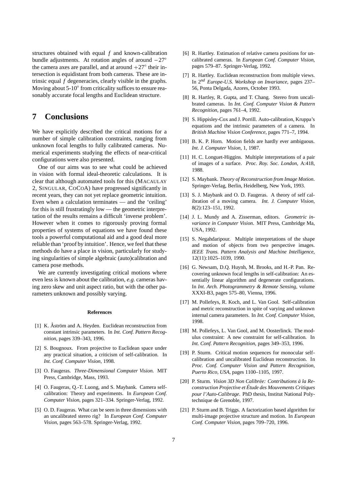structures obtained with equal *f* and known-calibration bundle adjustments. At rotation angles of around  $-27^{\circ}$ the camera axes are parallel, and at around  $+27^{\circ}$  their intersection is equidistant from both cameras. These are intrinsic equal *f* degeneracies, clearly visible in the graphs. Moving about 5-10° from criticality suffices to ensure reasonably accurate focal lengths and Euclidean structure.

#### **7 Conclusions**

We have explicitly described the critical motions for a number of simple calibration constraints, ranging from unknown focal lengths to fully calibrated cameras. Numerical experiments studying the effects of near-critical configurations were also presented.

One of our aims was to see what could be achieved in vision with formal ideal-theoretic calculations. It is clear that although automated tools for this (MACAULAY 2, SINGULAR, COCOA) have progressed significantly in recent years, they can not yet replace geometric intuition. Even when a calculation terminates — and the 'ceiling' for this is still frustratingly low — the geometric interpretation of the results remains a difficult 'inverse problem'. However when it comes to rigorously proving formal properties of systems of equations we have found these tools a powerful computational aid and a good deal more reliable than 'proof by intuition'. Hence, we feel that these methods do have a place in vision, particularly for studying singularities of simple algebraic (auto)calibration and camera pose methods.

We are currently investigating critical motions where even less is known about the calibration, *e.g.* cameras having zero skew and unit aspect ratio, but with the other parameters unknown and possibly varying.

#### **References**

- [1] K. Åström and A. Heyden. Euclidean reconstruction from constant intrinsic parameters. In *Int. Conf. Pattern Recognition*, pages 339–343, 1996.
- [2] S. Bougnoux. From projective to Euclidean space under any practical situation, a criticism of self-calibration. In *Int. Conf. Computer Vision*, 1998.
- [3] O. Faugeras. *Three-Dimensional Computer Vision*. MIT Press, Cambridge, Mass, 1993.
- [4] O. Faugeras, Q.-T. Luong, and S. Maybank. Camera selfcalibration: Theory and experiments. In *European Conf. Computer Vision*, pages 321–334. Springer-Verlag, 1992.
- [5] O. D. Faugeras. What can be seen in three dimensions with an uncalibrated stereo rig? In *European Conf. Computer Vision*, pages 563–578. Springer-Verlag, 1992.
- [6] R. Hartley. Estimation of relative camera positions for uncalibrated cameras. In *European Conf. Computer Vision*, pages 579–87. Springer-Verlag, 1992.
- [7] R. Hartley. Euclidean reconstruction from multiple views. In 2*nd Europe-U.S. Workshop on Invariance*, pages 237– 56, Ponta Delgada, Azores, October 1993.
- [8] R. Hartley, R. Gupta, and T. Chang. Stereo from uncalibrated cameras. In *Int. Conf. Computer Vision & Pattern Recognition*, pages 761–4, 1992.
- [9] S. Hippisley-Cox and J. Porrill. Auto-calibration, Kruppa's equations and the intrinsic parameters of a camera. In *British Machine Vision Conference*, pages 771–7, 1994.
- [10] B. K. P. Horn. Motion fields are hardly ever ambiguous. *Int. J. Computer Vision*, 1, 1987.
- [11] H. C. Longuet-Higgins. Multiple interpretations of a pair of images of a surface. *Proc. Roy. Soc. London*, A:418, 1988.
- [12] S. Maybank. *Theory of Reconstruction from Image Motion*. Springer-Verlag, Berlin, Heidelberg, New York, 1993.
- [13] S. J. Maybank and O. D. Faugeras. A theory of self calibration of a moving camera. *Int. J. Computer Vision*, 8(2):123–151, 1992.
- [14] J. L. Mundy and A. Zisserman, editors. *Geometric invariance in Computer Vision*. MIT Press, Cambridge Ma, USA, 1992.
- [15] S. Negahdaripour. Multiple interpretations of the shape and motion of objects from two perspective images. *IEEE Trans. Pattern Analysis and Machine Intelligence*, 12(11):1025–1039, 1990.
- [16] G. Newsam, D.Q. Huynh, M. Brooks, and H.-P. Pan. Recovering unknown focal lengths in self-calibration: An essentially linear algorithm and degenerate configurations. In *Int. Arch. Photogrammetry & Remote Sensing*, volume XXXI-B3, pages 575–80, Vienna, 1996.
- [17] M. Pollefeys, R. Koch, and L. Van Gool. Self-calibration and metric reconstruction in spite of varying and unknown internal camera parameters. In *Int. Conf. Computer Vision*, 1998.
- [18] M. Pollefeys, L. Van Gool, and M. Oosterlinck. The modulus constraint: A new constraint for self-calibration. In *Int. Conf. Pattern Recognition*, pages 349–353, 1996.
- [19] P. Sturm. Critical motion sequences for monocular selfcalibration and uncalibrated Euclidean reconstruction. In *Proc. Conf. Computer Vision and Pattern Recognition, Puerto Rico, USA*, pages 1100–1105, 1997.
- [20] P. Sturm. *Vision 3D Non Calibrée: Contributions à la Reconstruction Projective et Etude des Mouvements Critiques ´ pour l'Auto-Calibrage*. PhD thesis, Institut National Polytechnique de Grenoble, 1997.
- [21] P. Sturm and B. Triggs. A factorization based algorithm for multi-image projective structure and motion. In *European Conf. Computer Vision*, pages 709–720, 1996.